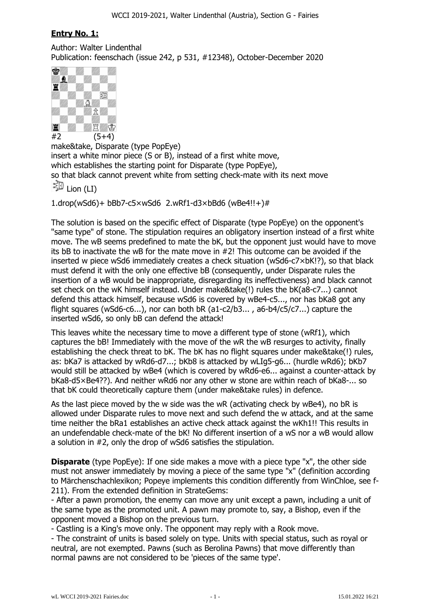# **Entry No. 1:**

Author: Walter Lindenthal Publication: feenschach (issue 242, p 531, #12348), October-December 2020



make&take, Disparate (type PopEye) insert a white minor piece (S or B), instead of a first white move, which establishes the starting point for Disparate (type PopEye), so that black cannot prevent white from setting check-mate with its next move 多 Lion (LI)

1.drop(wSd6)+ bBb7-c5×wSd6 2.wRf1-d3×bBd6 (wBe4!!+)#

The solution is based on the specific effect of Disparate (type PopEye) on the opponent's "same type" of stone. The stipulation requires an obligatory insertion instead of a first white move. The wB seems predefined to mate the bK, but the opponent just would have to move its bB to inactivate the wB for the mate move in #2! This outcome can be avoided if the inserted w piece wSd6 immediately creates a check situation (wSd6-c7×bK!?), so that black must defend it with the only one effective bB (consequently, under Disparate rules the insertion of a wB would be inappropriate, disregarding its ineffectiveness) and black cannot set check on the wK himself instead. Under make&take(!) rules the bK(a8-c7...) cannot defend this attack himself, because wSd6 is covered by wBe4-c5..., nor has bKa8 got any flight squares (wSd6-c6...), nor can both bR (a1-c2/b3... , a6-b4/c5/c7...) capture the inserted wSd6, so only bB can defend the attack!

This leaves white the necessary time to move a different type of stone (wRf1), which captures the bB! Immediately with the move of the wR the wB resurges to activity, finally establishing the check threat to bK. The bK has no flight squares under make&take(!) rules, as: bKa7 is attacked by wRd6-d7...; bKb8 is attacked by wLIg5-g6... (hurdle wRd6); bKb7 would still be attacked by wBe4 (which is covered by wRd6-e6... against a counter-attack by bKa8-d5×Be4??). And neither wRd6 nor any other w stone are within reach of bKa8-... so that bK could theoretically capture them (under make&take rules) in defence.

As the last piece moved by the w side was the wR (activating check by wBe4), no bR is allowed under Disparate rules to move next and such defend the w attack, and at the same time neither the bRa1 establishes an active check attack against the wKh1!! This results in an undefendable check-mate of the bK! No different insertion of a wS nor a wB would allow a solution in #2, only the drop of wSd6 satisfies the stipulation.

**Disparate** (type PopEye): If one side makes a move with a piece type "x", the other side must not answer immediately by moving a piece of the same type "x" (definition according to Märchenschachlexikon; Popeye implements this condition differently from WinChloe, see f-211). From the extended definition in StrateGems:

- After a pawn promotion, the enemy can move any unit except a pawn, including a unit of the same type as the promoted unit. A pawn may promote to, say, a Bishop, even if the opponent moved a Bishop on the previous turn.

- Castling is a King's move only. The opponent may reply with a Rook move.

- The constraint of units is based solely on type. Units with special status, such as royal or neutral, are not exempted. Pawns (such as Berolina Pawns) that move differently than normal pawns are not considered to be 'pieces of the same type'.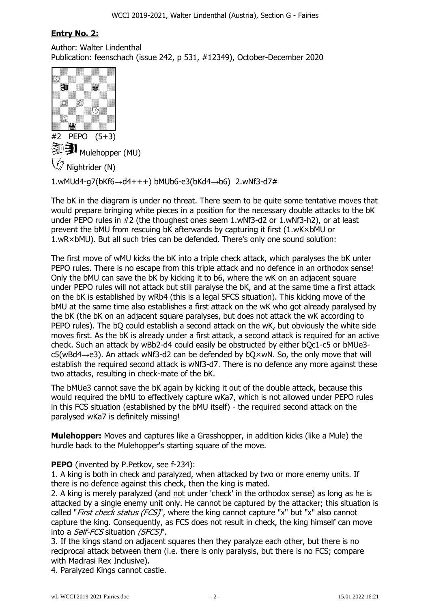# **Entry No. 2:**

Author: Walter Lindenthal Publication: feenschach (issue 242, p 531, #12349), October-December 2020



1.wMUd4-g7(bKf6 $\rightarrow$ d4+++) bMUb6-e3(bKd4 $\rightarrow$ b6) 2.wNf3-d7#

The bK in the diagram is under no threat. There seem to be quite some tentative moves that would prepare bringing white pieces in a position for the necessary double attacks to the bK under PEPO rules in #2 (the thoughest ones seem 1.wNf3-d2 or 1.wNf3-h2), or at least prevent the bMU from rescuing bK afterwards by capturing it first (1.wK×bMU or 1.wR×bMU). But all such tries can be defended. There's only one sound solution:

The first move of wMU kicks the bK into a triple check attack, which paralyses the bK unter PEPO rules. There is no escape from this triple attack and no defence in an orthodox sense! Only the bMU can save the bK by kicking it to b6, where the wK on an adjacent square under PEPO rules will not attack but still paralyse the bK, and at the same time a first attack on the bK is established by wRb4 (this is a legal SFCS situation). This kicking move of the bMU at the same time also establishes a first attack on the wK who got already paralysed by the bK (the bK on an adjacent square paralyses, but does not attack the wK according to PEPO rules). The bQ could establish a second attack on the wK, but obviously the white side moves first. As the bK is already under a first attack, a second attack is required for an active check. Such an attack by wBb2-d4 could easily be obstructed by either bQc1-c5 or bMUe3 c5(wBd4 $\rightarrow$ e3). An attack wNf3-d2 can be defended by bO×wN. So, the only move that will establish the required second attack is wNf3-d7. There is no defence any more against these two attacks, resulting in check-mate of the bK.

The bMUe3 cannot save the bK again by kicking it out of the double attack, because this would required the bMU to effectively capture wKa7, which is not allowed under PEPO rules in this FCS situation (established by the bMU itself) - the required second attack on the paralysed wKa7 is definitely missing!

**Mulehopper:** Moves and captures like a Grasshopper, in addition kicks (like a Mule) the hurdle back to the Mulehopper's starting square of the move.

### **PEPO** (invented by P.Petkov, see f-234):

1. A king is both in check and paralyzed, when attacked by two or more enemy units. If there is no defence against this check, then the king is mated.

2. A king is merely paralyzed (and not under 'check' in the orthodox sense) as long as he is attacked by a single enemy unit only. He cannot be captured by the attacker; this situation is called "*First check status (FCS)*", where the king cannot capture "x" but "x" also cannot capture the king. Consequently, as FCS does not result in check, the king himself can move into a Self-FCS situation (SFCS)".

3. If the kings stand on adjacent squares then they paralyze each other, but there is no reciprocal attack between them (i.e. there is only paralysis, but there is no FCS; compare with Madrasi Rex Inclusive).

4. Paralyzed Kings cannot castle.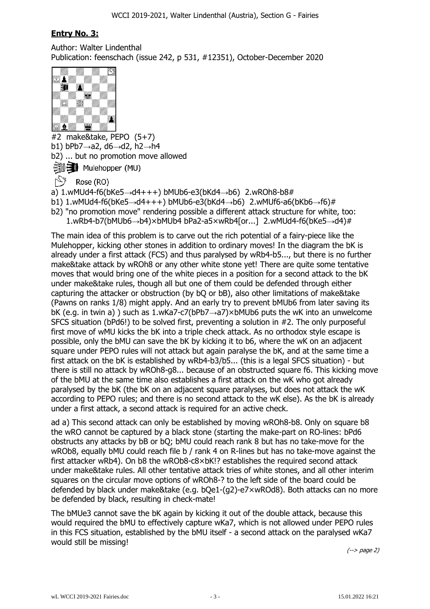### **Entry No. 3:**

Author: Walter Lindenthal Publication: feenschach (issue 242, p 531, #12351), October-December 2020



#2 make&take, PEPO (5+7) b1) bPb7 $\rightarrow$ a2, d6 $\rightarrow$ d2, h2 $\rightarrow$ h4 b2) ... but no promotion move allowed ※ → Mulehopper (MU)

Rose (RO)

a) 1.wMUd4-f6(bKe5 $\rightarrow$ d4+++) bMUb6-e3(bKd4 $\rightarrow$ b6) 2.wROh8-b8#

b1) 1.wMUd4-f6(bKe5 $\rightarrow$ d4+++) bMUb6-e3(bKd4 $\rightarrow$ b6) 2.wMUf6-a6(bKb6 $\rightarrow$ f6)#

b2) "no promotion move" rendering possible a different attack structure for white, too:

1.wRb4-b7(bMUb6 $\rightarrow$ b4)×bMUb4 bPa2-a5×wRb4[or...] 2.wMUd4-f6(bKe5 $\rightarrow$ d4)#

The main idea of this problem is to carve out the rich potential of a fairy-piece like the Mulehopper, kicking other stones in addition to ordinary moves! In the diagram the bK is already under a first attack (FCS) and thus paralysed by wRb4-b5..., but there is no further make&take attack by wROh8 or any other white stone yet! There are quite some tentative moves that would bring one of the white pieces in a position for a second attack to the bK under make&take rules, though all but one of them could be defended through either capturing the attacker or obstruction (by bQ or bB), also other limitations of make&take (Pawns on ranks 1/8) might apply. And an early try to prevent bMUb6 from later saving its bK (e.g. in twin a) ) such as  $1.w$ Ka7-c7(bPb7 $\rightarrow$ a7)×bMUb6 puts the wK into an unwelcome SFCS situation (bPd6!) to be solved first, preventing a solution in #2. The only purposeful first move of wMU kicks the bK into a triple check attack. As no orthodox style escape is possible, only the bMU can save the bK by kicking it to b6, where the wK on an adjacent square under PEPO rules will not attack but again paralyse the bK, and at the same time a first attack on the bK is established by wRb4-b3/b5... (this is a legal SFCS situation) - but there is still no attack by wROh8-g8... because of an obstructed square f6. This kicking move of the bMU at the same time also establishes a first attack on the wK who got already paralysed by the bK (the bK on an adjacent square paralyses, but does not attack the wK according to PEPO rules; and there is no second attack to the wK else). As the bK is already under a first attack, a second attack is required for an active check.

ad a) This second attack can only be established by moving wROh8-b8. Only on square b8 the wRO cannot be captured by a black stone (starting the make-part on RO-lines: bPd6 obstructs any attacks by bB or bQ; bMU could reach rank 8 but has no take-move for the wROb8, equally bMU could reach file b / rank 4 on R-lines but has no take-move against the first attacker wRb4). On b8 the wROb8-c8×bK!? establishes the required second attack under make&take rules. All other tentative attack tries of white stones, and all other interim squares on the circular move options of wROh8-? to the left side of the board could be defended by black under make&take (e.g. bQe1-(g2)-e7×wROd8). Both attacks can no more be defended by black, resulting in check-mate!

The bMUe3 cannot save the bK again by kicking it out of the double attack, because this would required the bMU to effectively capture wKa7, which is not allowed under PEPO rules in this FCS situation, established by the bMU itself - a second attack on the paralysed wKa7 would still be missing!

(--> page 2)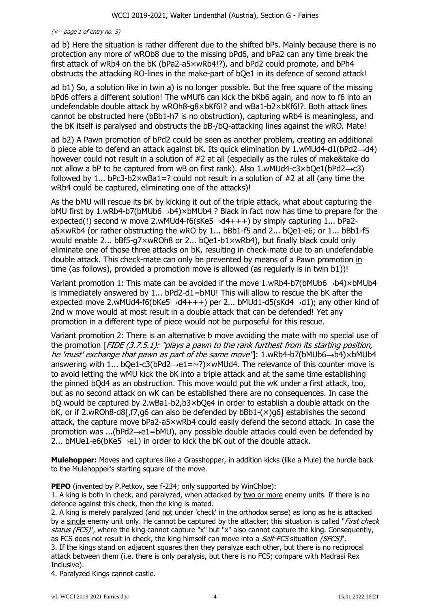### $\left(\left\langle -\right\rangle$  page 1 of entry no. 3)

ad b) Here the situation is rather different due to the shifted bPs. Mainly because there is no protection any more of wROb8 due to the missing bPd6, and bPa2 can any time break the first attack of wRb4 on the bK (bPa2-a5×wRb4!?), and bPd2 could promote, and bPh4 obstructs the attacking RO-lines in the make-part of bQe1 in its defence of second attack!

ad b1) So, a solution like in twin a) is no longer possible. But the free square of the missing bPd6 offers a different solution! The wMUf6 can kick the bKb6 again, and now to f6 into an undefendable double attack by wROh8-g8×bKf6!? and wBa1-b2×bKf6!?. Both attack lines cannot be obstructed here (bBb1-h7 is no obstruction), capturing wRb4 is meaningless, and the bK itself is paralysed and obstructs the bB-/bQ-attacking lines against the wRO. Mate!

ad b2) A Pawn promotion of bPd2 could be seen as another problem, creating an additional b piece able to defend an attack against bK. Its quick elimination by 1.wMUd4-d1(bPd2 $\rightarrow$ d4) however could not result in a solution of #2 at all (especially as the rules of make&take do not allow a bP to be captured from wB on first rank). Also  $1.$ wMUd4-c3×bQe1(bPd2 $\rightarrow$ c3) followed by 1... bPc3-b2 $\times$ wBa1=? could not result in a solution of #2 at all (any time the wRb4 could be captured, eliminating one of the attacks)!

As the bMU will rescue its bK by kicking it out of the triple attack, what about capturing the  $b$ MU first by 1.wRb4-b7( $b$ MUb6 $\rightarrow$ b4) $\times$ bMUb4 ? Black in fact now has time to prepare for the expected(!) second w move 2.wMUd4-f6(sKe5 $\rightarrow$ d4+++) by simply capturing 1... bPa2a5×wRb4 (or rather obstructing the wRO by 1... bBb1-f5 and 2... bQe1-e6; or 1... bBb1-f5 would enable 2... bBf5-g7×wROh8 or 2... bQe1-b1×wRb4), but finally black could only eliminate one of those three attacks on bK, resulting in check-mate due to an undefendable double attack. This check-mate can only be prevented by means of a Pawn promotion in time (as follows), provided a promotion move is allowed (as regularly is in twin b1))!

Variant promotion 1: This mate can be avoided if the move 1.wRb4-b7(bMUb6 $\rightarrow$ b4)×bMUb4 is immediately answered by 1... bPd2-d1=bMU! This will allow to rescue the bK after the expected move 2.wMUd4-f6(bKe5 $\rightarrow$ d4+++) per 2... bMUd1-d5(sKd4 $\rightarrow$ d1); any other kind of 2nd w move would at most result in a double attack that can be defended! Yet any promotion in a different type of piece would not be purposeful for this rescue.

Variant promotion 2: There is an alternative b move avoiding the mate with no special use of the promotion [FIDE (3.7.5.1): "plays a pawn to the rank furthest from its starting position, he 'must' exchange that pawn as part of the same move". 1.wRb4-b7(bMUb6 $\rightarrow$ b4)×bMUb4 answering with 1... bOe1-c3(bPd2 $\rightarrow$ e1= $\sim$ ?)×wMUd4. The relevance of this counter move is to avoid letting the wMU kick the bK into a triple attack and at the same time establishing the pinned bQd4 as an obstruction. This move would put the wK under a first attack, too, but as no second attack on wK can be established there are no consequences. In case the bQ would be captured by 2.wBa1-b2,b3×bQe4 in order to establish a double attack on the bK, or if 2.wROh8-d8[,f7,g6 can also be defended by bBb1-(×)g6] establishes the second attack, the capture move bPa2-a5×wRb4 could easily defend the second attack. In case the promotion was ...( $bPd2\rightarrow e1=bMU$ ), any possible double attacks could even be defended by 2... bMUe1-e6(bKe5 $\rightarrow$ e1) in order to kick the bK out of the double attack.

**Mulehopper:** Moves and captures like a Grasshopper, in addition kicks (like a Mule) the hurdle back to the Mulehopper's starting square of the move.

**PEPO** (invented by P.Petkov, see f-234; only supported by WinChloe):

1. A king is both in check, and paralyzed, when attacked by two or more enemy units. If there is no defence against this check, then the king is mated.

2. A king is merely paralyzed (and not under 'check' in the orthodox sense) as long as he is attacked by a single enemy unit only. He cannot be captured by the attacker; this situation is called "*First check* status ( $FCS$ )", where the king cannot capture "x" but "x" also cannot capture the king. Consequently, as FCS does not result in check, the king himself can move into a Self-FCS situation (SFCS)". 3. If the kings stand on adjacent squares then they paralyze each other, but there is no reciprocal attack between them (i.e. there is only paralysis, but there is no FCS; compare with Madrasi Rex Inclusive).

4. Paralyzed Kings cannot castle.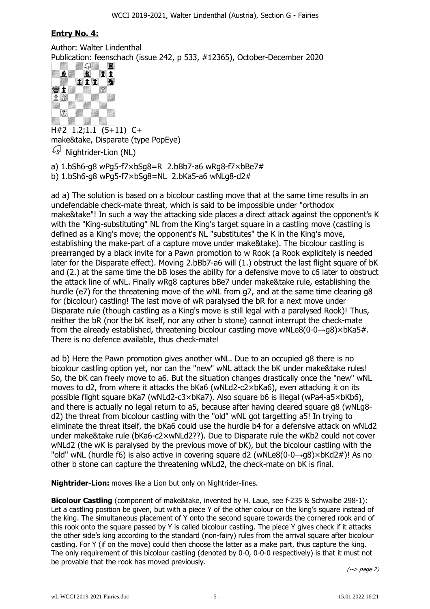### **Entry No. 4:**

Author: Walter Lindenthal Publication: feenschach (issue 242, p 533, #12365), October-December 2020



H#2 1.2;1.1 (5+11) C+ make&take, Disparate (type PopEye)  $\mathbb{Q}^{\mathbb{N}}$  Nightrider-Lion (NL)

a) 1.bSh6-g8 wPg5-f7×bSg8=R 2.bBb7-a6 wRg8-f7×bBe7#

b)  $1.bSh6-a8$  wPg5-f7 $\times bSa8=NL$  2.bKa5-a6 wNLg8-d2#

ad a) The solution is based on a bicolour castling move that at the same time results in an undefendable check-mate threat, which is said to be impossible under "orthodox make&take"! In such a way the attacking side places a direct attack against the opponent's K with the "King-substituting" NL from the King's target square in a castling move (castling is defined as a King's move; the opponent's NL "substitutes" the K in the King's move, establishing the make-part of a capture move under make&take). The bicolour castling is prearranged by a black invite for a Pawn promotion to w Rook (a Rook explicitely is needed later for the Disparate effect). Moving 2.bBb7-a6 will (1.) obstruct the last flight square of bK and (2.) at the same time the bB loses the ability for a defensive move to c6 later to obstruct the attack line of wNL. Finally wRg8 captures bBe7 under make&take rule, establishing the hurdle (e7) for the threatening move of the wNL from g7, and at the same time clearing g8 for (bicolour) castling! The last move of wR paralysed the bR for a next move under Disparate rule (though castling as a King's move is still legal with a paralysed Rook)! Thus, neither the bR (nor the bK itself, nor any other b stone) cannot interrupt the check-mate from the already established, threatening bicolour castling move wNLe8(0-0 $\rightarrow$ g8)×bKa5#. There is no defence available, thus check-mate!

ad b) Here the Pawn promotion gives another wNL. Due to an occupied g8 there is no bicolour castling option yet, nor can the "new" wNL attack the bK under make&take rules! So, the bK can freely move to a6. But the situation changes drastically once the "new" wNL moves to d2, from where it attacks the bKa6 (wNLd2-c2×bKa6), even attacking it on its possible flight square bKa7 (wNLd2-c3×bKa7). Also square b6 is illegal (wPa4-a5×bKb6), and there is actually no legal return to a5, because after having cleared square g8 (wNLg8 d2) the threat from bicolour castling with the "old" wNL got targetting a5! In trying to eliminate the threat itself, the bKa6 could use the hurdle b4 for a defensive attack on wNLd2 under make&take rule (bKa6-c2×wNLd2??). Due to Disparate rule the wKb2 could not cover wNLd2 (the wK is paralysed by the previous move of bK), but the bicolour castling with the "old" wNL (hurdle f6) is also active in covering square d2 (wNLe8(0-0 $\rightarrow$ q8)×bKd2#)! As no other b stone can capture the threatening wNLd2, the check-mate on bK is final.

**Nightrider-Lion:** moves like a Lion but only on Nightrider-lines.

**Bicolour Castling** (component of make&take, invented by H. Laue, see f-235 & Schwalbe 298-1): Let a castling position be given, but with a piece Y of the other colour on the king's square instead of the king. The simultaneous placement of Y onto the second square towards the cornered rook and of this rook onto the square passed by Y is called bicolour castling. The piece Y gives check if it attacks the other side's king according to the standard (non-fairy) rules from the arrival square after bicolour castling. For Y (if on the move) could then choose the latter as a make part, thus capture the king. The only requirement of this bicolour castling (denoted by 0-0, 0-0-0 respectively) is that it must not be provable that the rook has moved previously.

(--> page 2)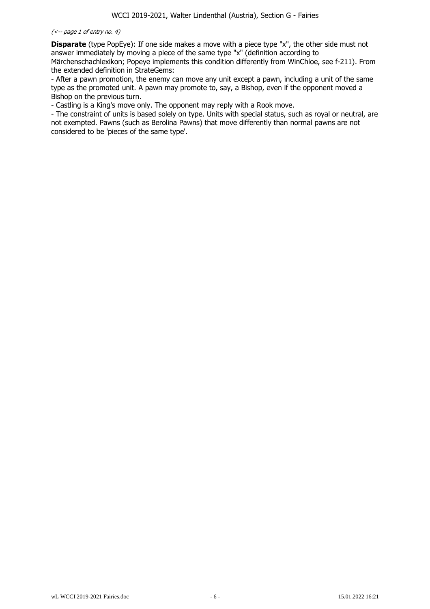#### (<-- page 1 of entry no. 4)

**Disparate** (type PopEye): If one side makes a move with a piece type "x", the other side must not answer immediately by moving a piece of the same type "x" (definition according to Märchenschachlexikon; Popeye implements this condition differently from WinChloe, see f-211). From

the extended definition in StrateGems: - After a pawn promotion, the enemy can move any unit except a pawn, including a unit of the same type as the promoted unit. A pawn may promote to, say, a Bishop, even if the opponent moved a Bishop on the previous turn.

- Castling is a King's move only. The opponent may reply with a Rook move.

- The constraint of units is based solely on type. Units with special status, such as royal or neutral, are not exempted. Pawns (such as Berolina Pawns) that move differently than normal pawns are not considered to be 'pieces of the same type'.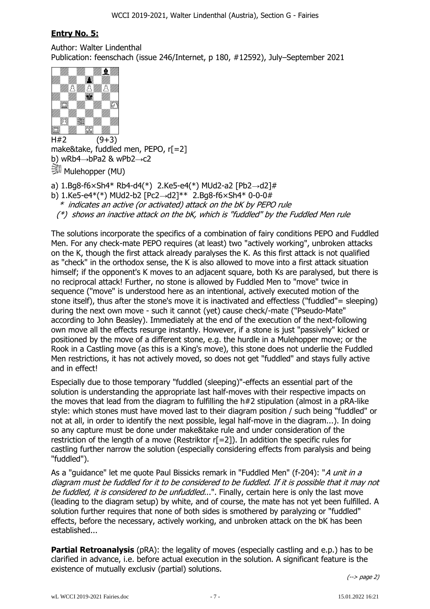# **Entry No. 5:**

Author: Walter Lindenthal Publication: feenschach (issue 246/Internet, p 180, #12592), July–September 2021



 $H#2$  (9+3) make&take, fuddled men, PEPO, r[=2] b) wRb4 $\rightarrow$ bPa2 & wPb2 $\rightarrow$ c2 **Mulehopper (MU)** 

a)  $1.Bg8-f6 \times Sh4* Rb4-d4(*)$  2.Ke5-e4(\*) MUd2-a2 [Pb2 $\rightarrow$ d2]#

b) 1.Ke5-e4\*(\*) MUd2-b2 [Pc2 $\rightarrow$ d2]\*\* 2.Bg8-f6×Sh4\* 0-0-0#

\* indicates an active (or activated) attack on the bK by PEPO rule

 $(*)$  shows an inactive attack on the bK, which is "fuddled" by the Fuddled Men rule

The solutions incorporate the specifics of a combination of fairy conditions PEPO and Fuddled Men. For any check-mate PEPO requires (at least) two "actively working", unbroken attacks on the K, though the first attack already paralyses the K. As this first attack is not qualified as "check" in the orthodox sense, the K is also allowed to move into a first attack situation himself; if the opponent's K moves to an adjacent square, both Ks are paralysed, but there is no reciprocal attack! Further, no stone is allowed by Fuddled Men to "move" twice in sequence ("move" is understood here as an intentional, actively executed motion of the stone itself), thus after the stone's move it is inactivated and effectless ("fuddled"= sleeping) during the next own move - such it cannot (yet) cause check/-mate ("Pseudo-Mate" according to John Beasley). Immediately at the end of the execution of the next-following own move all the effects resurge instantly. However, if a stone is just "passively" kicked or positioned by the move of a different stone, e.g. the hurdle in a Mulehopper move; or the Rook in a Castling move (as this is a King's move), this stone does not underlie the Fuddled Men restrictions, it has not actively moved, so does not get "fuddled" and stays fully active and in effect!

Especially due to those temporary "fuddled (sleeping)"-effects an essential part of the solution is understanding the appropriate last half-moves with their respective impacts on the moves that lead from the diagram to fulfilling the h#2 stipulation (almost in a pRA-like style: which stones must have moved last to their diagram position / such being "fuddled" or not at all, in order to identify the next possible, legal half-move in the diagram...). In doing so any capture must be done under make&take rule and under consideration of the restriction of the length of a move (Restriktor r[=2]). In addition the specific rules for castling further narrow the solution (especially considering effects from paralysis and being "fuddled").

As a "guidance" let me quote Paul Bissicks remark in "Fuddled Men" (f-204): "A unit in a diagram must be fuddled for it to be considered to be fuddled. If it is possible that it may not be fuddled, it is considered to be unfuddled...". Finally, certain here is only the last move (leading to the diagram setup) by white, and of course, the mate has not yet been fulfilled. A solution further requires that none of both sides is smothered by paralyzing or "fuddled" effects, before the necessary, actively working, and unbroken attack on the bK has been established...

**Partial Retroanalysis** (pRA): the legality of moves (especially castling and e.p.) has to be clarified in advance, i.e. before actual execution in the solution. A significant feature is the existence of mutually exclusiv (partial) solutions.

(--> page 2)